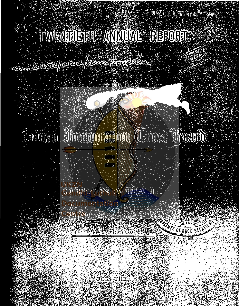# TIWENTTETHE ANNUAL BEPORT

rance is a greep more from thousand

# University Manuary 2009

CO IF ANY A IF A IL

FOR: THE

**EXTUTE OF RACE RELAT**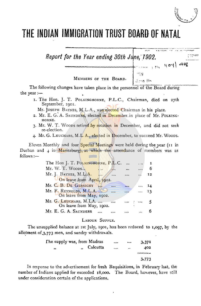## **THE INDIAN IMMIGRATION TRUST BOARO OF NATAL**



## LABOUR SUPPLY.

6

Mr. E. G. A. SAUXDERS

The unsupplied balance at 1st July, 1901, has been reduced to **1,097,** by the allotment of  $3,773$  men, and sundry withdrawals.

|        | The supply was, from Madras |          | $\bullet\bullet\bullet$ | 3,37I |
|--------|-----------------------------|----------|-------------------------|-------|
| $, \,$ | "Calcutta                   | $\cdots$ | $\ddot{\phantom{0}}$    | 402   |
|        |                             |          |                         |       |
|        |                             |          |                         | 3,773 |

In response to the advertisement for fresh Requisitions, in February last, the number of Indians applied for exceeded  $18,000$ . The Board, however, have still under consideration certain of the applications.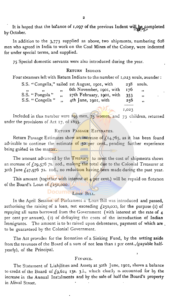It is hoped that the balance of 1,097 of the previous Indent will be completed by October.

In addition to the 3,773 supplied as above, two shipments, numbering 628 men who agreed in India to work on the Coal Mines of the Colony, were indented for under special terms, and supplied.

75 Special domestic servants were also introduced during the year.

#### RETURN INDIAXS

Four steamers left with Return Indians to the number of 1,023 souls, asunder :

|                 | S.S. "Congella," sailed 1st August, 1901, with |      | $238$ souls.            |
|-----------------|------------------------------------------------|------|-------------------------|
|                 | " 6th November, 1901, with                     | I 76 | $\overline{\mathbf{1}}$ |
| S.S. "Pongola"  | 27th February, 1901, with                      | 353  | $\bullet$               |
| S.S. "Congella" | 4th June, 1901, with                           | 256  | $\rightarrow$           |
|                 |                                                |      |                         |

r,023

Included in this number were 195 men, 75 women, and 73 children, returned under the provisions of Act r7, of 1895.

### RETURN PASSAGE ESTIMATES.

Return Passage Estimates show an increase of  $f_{14,765}$ , as it has been found advisable to continue the estimate of 50 per cent., pending further experience being gained in the matter.

The amount advanced by the Treasury to meet the cost of shipments shows an increase of  $f_{29,576}$  7s. 10d., making the total due to the Colonial Treasurer at 30th June  $f_{47,976}$  73. rod., no reduction having been made during the past year.

This amount (together with interest at  $\frac{1}{4}$  per cent.) will be repaid on flotation of the Board's Loan of  $\sqrt{250,000}$ .

DOCUME LOAN BILL.

In the April Session of Parliament a Loan Bill was introduced and passed, authorising the raising of a loan, not exceeding  $f_2$ 50,000, for the purpose (1) of repaying all sums borrowed from the Government (with interest at the rate of  $4$ per cent per annum), (2) of defraying the costs of the introduction of Indian Immigrants. The amount is to be raised upon debentures, payment of which are to be guaranteed by the Colonial Government.

The Act provides for the formation of a Sinking Fund, by the setting **aside**  from the revenues of the Board of a sum of not less than 1 per cent., (payable halfyearly), of the Principal. 

#### FINANCE.

The Statement of Liabilities and Assets at 30th June, 1902, shows a balance to credit of the Board of  $f_9, 624$  13s. 3.1., which chiefly is accounted for by the increase in the Annual Instalments and by the sale of half the Board's property in Aliwal Street.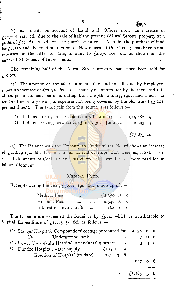$(r)$  Investments on account of Land and Offices show an increase of  $\zeta$ 22,228 14s. 2d., due to the sale of half the present (Aliwal Street) property at a profit of  $f_1$ <sub>4</sub>,461 4s. 2d. on the purchase price. Also by the purchase of land for  $\zeta$ ,350 and the erection thereon of New offices at the Creek; instalments and expenses on the latter to date, amount to  $f_1$ 2,070 ros. od. as shown on the annexed Statement of Investments.

The remaining half of the Aliwal Street property has since been sold for £10,000.

(2) The amount of Annual Instalments due and to fall due by Employers shows an increase of  $\zeta$ 27,359 6s. 10d., mainly accounted for by the increased rate  $\nu$ f 10s. per instalment per man, dating from the 7th January, 1902, and which was rendered necessary owmg to expenses not hemg covered by the old rate of *£3* 10s. per instalment. The exact gain from this source is as follows :-

| On Indians already in the Colony on 7th January $\{15,482,5\}$ |                    |  |
|----------------------------------------------------------------|--------------------|--|
| On Indians arriving between 7th Jan & 30th June                | $2,393$ 5          |  |
|                                                                |                    |  |
|                                                                | $\sqrt{17.875.10}$ |  |

(3) The Balance with the Treasury to Credit of the Board shows an increase of  $f_{14}$ ,679 17s. 8d., due to the non-arrival of ships that were expected. Two special shipments of Coal Miners, introduced at special rates, were paid for in full on allotment.

#### MEDICAL FUND.

Receipts during the year,  $\zeta$  7,071 rgs 6d., made up of:-

UKZ

| Medical Fees            | <br>$\cdots$ | $\{4,359,13\}$ 0 |  |
|-------------------------|--------------|------------------|--|
| Hospital Fees           | <br>$\cdots$ | $2,547$ 16 6     |  |
| Interest on Investments | $\ddotsc$    | $164$ 10 0       |  |

The Expenditure exceeded the Receipts by  $f_{974}$ , which is attributable to Capital Expenditure of  $f_1,185$  3s. 6d. as follows:-

| On Stanger Hospital, Compounders' cottage purchased for $f_{138}$ o o |                   |  |
|-----------------------------------------------------------------------|-------------------|--|
| Do Underground tank                                                   | $67$ 0 0          |  |
| On Lower Umzinkulu Hospital, attendants' quarters                     | 53 3 0            |  |
| On Dundee Hospital, water supply<br>$f_{.}$ 195 11 0                  |                   |  |
| Erection of Hospital (to date) 731 9 6                                |                   |  |
|                                                                       | 927               |  |
|                                                                       |                   |  |
|                                                                       | $\int I, 185, 36$ |  |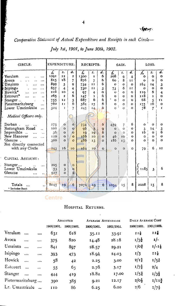| n | п<br>42 |  |
|---|---------|--|
|---|---------|--|

Comparative Statement of Actual Expenditure and Receipts in each Circle-

 $\overline{\mathbf{4}}$ 

|                                                                                                                                                                                                                                 |                                                                   |                                                                                                                 |                                                                                                      | July 1st, 1901, to June 30th, 1902.                              |                                                                           |                                                       |                                                                                              |                                                                             |                                                                                                              |                                                                               |                                                                                   |                                                                                                              |
|---------------------------------------------------------------------------------------------------------------------------------------------------------------------------------------------------------------------------------|-------------------------------------------------------------------|-----------------------------------------------------------------------------------------------------------------|------------------------------------------------------------------------------------------------------|------------------------------------------------------------------|---------------------------------------------------------------------------|-------------------------------------------------------|----------------------------------------------------------------------------------------------|-----------------------------------------------------------------------------|--------------------------------------------------------------------------------------------------------------|-------------------------------------------------------------------------------|-----------------------------------------------------------------------------------|--------------------------------------------------------------------------------------------------------------|
| CIRCLE.                                                                                                                                                                                                                         | EXPENDITURE.                                                      |                                                                                                                 |                                                                                                      |                                                                  | RECEIPTS.                                                                 |                                                       |                                                                                              | GAIN.                                                                       |                                                                                                              | LOSS.                                                                         |                                                                                   |                                                                                                              |
| Verulam<br>$\ddotsc$<br>Avoca<br>$\cdots$<br>Umzinto<br><br>r Isipingo<br><br>Howick*<br>.<br>Estcourt*<br>.<br>$\ddotsc$<br>Stanger<br>Pietermaritzburg<br>$\ddotsc$<br>Lower Umzimkulu<br>$\ddotsc$<br>Medical Officers only. | £<br>1091<br>815<br>899<br>657<br>216<br>265<br>755<br>760<br>324 | $s_{\star}$<br>12<br>18<br>5<br>$\overline{\bf{4}}$<br>10<br>$\mathbf{z}$<br>12<br>$\mathbf{I}$<br>$\mathbf{I}$ | d.<br>$\overline{\mathbf{z}}$<br>$\overline{7}$<br>9<br>$\overline{\bf{4}}$<br>4<br>6<br>5<br>6<br>7 | £<br>1300<br>876<br>734<br>730<br>97<br>147<br>687<br>584<br>245 | s.<br>$\mathbf{r}$<br>7<br>11<br>11<br>4<br>$\mathbf{I}$<br>6<br>15<br>14 | d.<br>6<br>6<br>6<br>3<br>O<br>6<br>6<br>6<br>6       | $\star$<br>208<br>60<br>$\Omega$<br>73<br>Ü<br>$\circ$<br>$\circ$<br>$\mathbf{o}$<br>$\circ$ | s.<br>$\Omega$<br>8<br>o<br>6<br>o<br>$\Omega$<br>$\Omega$<br>o<br>$\Omega$ | d.<br>$\overline{\mathbf{A}}$<br>$\mathbf{I}$<br>O<br>Ħ<br>$\Omega$<br>$\Omega$<br>$\Omega$<br>O<br>$\Omega$ | £<br>$\mathbf o$<br>$\mathbf{o}$<br>164<br>o<br>110<br>118<br>68<br>175<br>78 | s.<br>$\mathbf{o}$<br>Ō<br>14<br>$\mathbf o$<br>6<br>$\mathbf{I}$<br>5<br>16<br>7 | d.<br>$\mathbf{o}$<br>$\mathbf{o}$<br>3<br>$\mathbf{o}$<br>4<br>$\mathbf{o}$<br>$\mathbf{I}$<br>$\circ$<br>r |
| Durban.<br>Nottingham Road<br>$\ddot{\phantom{a}}$<br>Impendhle<br>$\ddot{\phantom{a}}$<br>$\ddotsc$<br>New Hanover<br><br>Glencoe<br>Not directly connected<br>with any Circle                                                 | 275<br>100<br>36<br>120<br>300<br>243                             | o<br>$\Omega$<br>$\Omega$<br>$\Omega$<br>$\Omega$<br>16                                                         | Ō<br>$\Omega$<br>$\Omega$<br>$\Omega$<br>$\Omega$<br>10                                              | 734<br>96<br>10<br>166<br>486<br>164                             | 7<br>5<br>19<br>IO<br>13<br>10                                            | 6<br>9<br>6<br>$\Omega$<br>$\overline{O}$<br>$\Omega$ | 459<br>$\mathbf{o}$<br>$\mathbf{o}$<br>46<br>186<br>$\Omega$                                 | 7<br>Ō<br>$\Omega$<br>10<br>13<br>$\circ$                                   | 6<br>Ō<br>$\mathbf{o}$<br>$\Omega$<br>Ō<br>$\circ$                                                           | O<br>3<br><b>16</b><br>$\Omega$<br>$\Omega$<br>79                             | o<br>14<br>$\Omega$<br>O<br>$\Omega$<br>6                                         | o<br>$\overline{\mathbf{3}}$<br>6<br>$\mathbf{o}$<br>$\Omega$<br>10                                          |
| CAPITAL ACCOUNT:<br>Stanger<br>Lower Umzimkulu<br>Glencoe<br>$\ddot{\phantom{1}}$                                                                                                                                               | 205<br>53<br>927                                                  | О<br>3<br>$\circ$                                                                                               | $\circ$<br>Ō<br>6                                                                                    |                                                                  |                                                                           |                                                       |                                                                                              |                                                                             |                                                                                                              | 1185                                                                          | 3                                                                                 | 6                                                                                                            |
| Totals<br>$\ddot{\phantom{a}}$<br>* Includes Rent                                                                                                                                                                               | 8045                                                              | 19                                                                                                              | 6                                                                                                    | 7071                                                             | 10                                                                        | 6                                                     | 1034                                                                                         | 15                                                                          | 8                                                                                                            | 2 <sub>CO</sub> 8                                                             | 15                                                                                | 8                                                                                                            |

July 1st, 1901, to June 30th, 1902.

**Centre** 

### HOSPITAL RETURNS.

|                  |           |          |            | ADMITTED       | <b>AVERAGE ATTENDANCE</b> |            |                     | DAILY AVERAGE COST |
|------------------|-----------|----------|------------|----------------|---------------------------|------------|---------------------|--------------------|
|                  |           |          | 1900/1901. | 1901/1902.     | 1900/1901.                | 1901/1902. | 1900/1901.          | 1901/1902.         |
| Verulam          |           |          | 631        | 618            | 35.11                     | 33.91      | $11\frac{1}{8}$     | $11\frac{7}{8}$    |
| Avoca            | $\cdots$  | $\cdots$ | 375        | 820            | 14.48                     | 28.18      | $1/5\frac{1}{2}$    | $I$ .              |
| Umzinto          |           |          | 841        | 897            | 28.57                     | 29.21      | $\frac{3}{4}$       | 1/1                |
| Isipingo         | $\cdots$  |          | 393        | 473            | 18.94                     | 24.03      | 1/3                 | II <sub>x</sub>    |
| Howick           |           | $\cdots$ | 58         | 42             | 2.25                      | 3.00       | $2/1$ $\frac{3}{4}$ | $1/5$ #            |
| Estcourt         | $\ddotsc$ | $\cdots$ | 55         | 6 <sub>5</sub> | 2.78                      | 3.17       | $1/7\frac{1}{2}$    | 2/4                |
| Stanger          | $\cdots$  | $\cdots$ | 444        | 419            | 18.82                     | 17.00      | $1/5$ <sup>3</sup>  | $1/3\frac{1}{2}$   |
| Pietermaritzburg |           |          | 390        | 385            | 9.21                      | 12.17      | $2/0\frac{1}{2}$    | $1/11\frac{3}{4}$  |
| Lr. Umzimkulu    |           |          | 110        | 86             | 6.25                      | 6.00       | 2/6                 | $1/7\frac{7}{9}$   |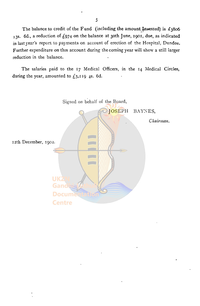The balance to credit of the Fund (including the amount Invested) is  $\pounds_3806$ 13s. 6d., a reduction of  $f_{974}$  on the balance at 30th June, 1901, due, as indicated in last year's report to payments on account of erection of the Hospital, Dundee. Further expenditure on this account during the coming year will show a still larger reduction in the balance.

The salaries paid to the 17 Medical Officers, in the 14 Medical Circles, during the year, amounted to  $f_3$ , 119 4s. 6d.

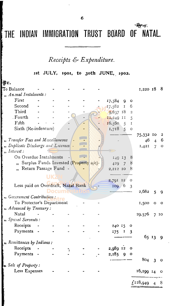## THE INDIAN IMMIGRATION TRUST BOARD OF NATAL.

٠Ţ.

Receipts & Expenditure.

ist JULY, 1901, to 30th JUNE, 1902.

| Đr.                                    |                       |                                        |  |                  |                  |                         |             |                |                             |
|----------------------------------------|-----------------------|----------------------------------------|--|------------------|------------------|-------------------------|-------------|----------------|-----------------------------|
| ${\mathbf T}$ o Balance                |                       |                                        |  |                  |                  |                         | 1,220 18    |                | - 8                         |
| "An.mal Instalments:                   |                       |                                        |  |                  |                  |                         |             |                |                             |
| First                                  |                       |                                        |  | 17,584           | 9                | $\circ$                 |             |                |                             |
| Second                                 |                       |                                        |  | 17,582           | $\mathbf{I}$     | 6                       |             |                |                             |
| Third                                  |                       |                                        |  | $9,637$ 18       |                  | $\overline{c}$          |             |                |                             |
| . Fourth                               |                       |                                        |  | $I2,249$ II      |                  | 5                       |             |                |                             |
| Fifth                                  |                       |                                        |  | $16.560 - 5$ I   |                  |                         |             |                |                             |
| Sixth (Re-indenture)                   |                       |                                        |  | 1,718            | $5-1$            | $\circ$                 |             |                |                             |
|                                        |                       |                                        |  |                  |                  |                         | 75,332 10   |                | 2                           |
| " Transfer Fees and Miscellaneous      |                       |                                        |  |                  |                  |                         | 46          | 4 <sup>1</sup> | 6                           |
| Duplicate Discharge and Licenses -     |                       |                                        |  |                  |                  |                         | 1,421       | $\overline{7}$ | $\mathbf O$                 |
| $n$ . Interest :                       |                       |                                        |  |                  |                  |                         |             |                |                             |
| On Overdue Instalments                 |                       |                                        |  | 149 13           |                  | ŏ                       |             |                |                             |
|                                        |                       | Surplus Funds Invested (Property a/c)- |  | $+29$            | $\overline{7}$   | ୪                       |             |                |                             |
|                                        | Return Passage Fund - |                                        |  | 2,212 10         |                  |                         |             |                |                             |
|                                        |                       |                                        |  |                  |                  |                         |             |                |                             |
|                                        |                       |                                        |  | 2,791 12         |                  | $\circ$                 |             |                |                             |
| Less paid on Overdraft, Natal Bank     |                       |                                        |  | 109 <sub>6</sub> |                  | $\overline{\mathbf{3}}$ |             |                |                             |
|                                        |                       |                                        |  |                  |                  |                         | 2,682       | 5              | -9                          |
| <sup>11</sup> Government Contribution: |                       |                                        |  |                  |                  |                         |             |                |                             |
| To Protector's Department              |                       |                                        |  |                  |                  |                         | 1,500       | $\bullet$      | $\mathbf{o}$                |
| , Advanced by Treasury:                |                       |                                        |  |                  |                  |                         |             |                |                             |
| Natal                                  |                       |                                        |  |                  |                  |                         | 29,576      |                | 7 <sub>10</sub>             |
| n Special Servants:                    |                       |                                        |  |                  |                  |                         |             |                |                             |
| Receipts                               |                       |                                        |  | 240 15           |                  | O                       |             |                |                             |
| Payments                               |                       |                                        |  | 175              | 1                | 3                       |             |                |                             |
|                                        |                       |                                        |  |                  |                  |                         |             | 65 13          | - 9                         |
| n Remittances by Indians:              |                       |                                        |  |                  |                  |                         |             |                |                             |
| Receipts                               |                       |                                        |  | 2,989 12         |                  | o                       |             |                |                             |
| Payments -                             |                       |                                        |  | 2,185            | $\boldsymbol{9}$ | $\circ$                 |             |                |                             |
|                                        |                       |                                        |  |                  |                  |                         | $804 - 3$   |                | $\overline{\mathbf{O}}$     |
| Sale of Property:                      |                       |                                        |  |                  |                  |                         |             |                |                             |
| Less Expenses                          |                       |                                        |  |                  |                  |                         | 16,299 14 0 |                |                             |
|                                        |                       |                                        |  |                  |                  |                         |             |                |                             |
|                                        |                       |                                        |  |                  |                  |                         | f128,949    | $\overline{4}$ | $\mathcal{S}_{\mathcal{S}}$ |
|                                        |                       |                                        |  |                  |                  |                         |             |                |                             |

6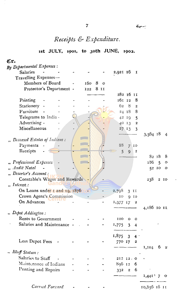ł.

## Receipts & Expenditure.

## 1st JULY, 1901, to 30th JUNE, 1902.

| Cr.               |                               |  |     |        |                 |                |                  |              |                |         |
|-------------------|-------------------------------|--|-----|--------|-----------------|----------------|------------------|--------------|----------------|---------|
|                   | By Departmental Expenses:     |  |     |        |                 |                |                  |              |                |         |
| <b>Salaries</b>   |                               |  |     |        | 2,921 16        |                | 1                |              |                |         |
|                   | Travelling Expenses-          |  |     |        |                 |                |                  |              |                |         |
|                   | Members of Board              |  | 160 | 8<br>O |                 |                |                  |              |                |         |
|                   | Protector's Department -      |  | 122 | 8 II   |                 |                |                  |              |                |         |
|                   |                               |  |     |        | 282 16 11       |                |                  |              |                |         |
| Printing          |                               |  |     |        |                 | 161 12         | 8                |              |                |         |
|                   | Stationery -                  |  |     |        | 62              | 8              | $\overline{2}$   |              |                |         |
| Furniture         |                               |  |     |        |                 | 2418           | 8                |              |                |         |
|                   | Telegrams to India -          |  |     |        |                 | 42 19          | 5                |              |                |         |
|                   | Advertising -                 |  |     |        |                 | 40 13          | $\bf 2$          |              |                |         |
|                   | Miscellaneous                 |  |     |        |                 | 27.13          | 3                |              |                |         |
|                   |                               |  |     |        |                 |                |                  | 3,564 18 4   |                |         |
|                   | Deceased Estates of Indians:  |  |     |        |                 |                |                  |              |                |         |
| Payments          |                               |  |     |        | 88              | $\overline{7}$ | IO               |              |                |         |
| Receipts          |                               |  |     |        | $\overline{5}$  | $\overline{9}$ | $\boldsymbol{2}$ |              |                |         |
|                   |                               |  |     |        |                 |                |                  |              | 82 18 8        |         |
|                   | Professional Expenses         |  |     |        |                 |                |                  | 186          | $\overline{5}$ | $\circ$ |
| Audit Natal       |                               |  |     |        |                 |                |                  |              | 52 10 0        |         |
|                   | Deserter's Account:           |  |     |        |                 |                |                  |              |                |         |
|                   | Constable's Wages and Rewards |  |     |        |                 |                |                  | 238          |                | 2 10    |
| "Interest:        |                               |  |     |        |                 |                |                  |              |                |         |
|                   | On Loans under 1 and 19, 1876 |  |     |        | 2,798           | $\overline{3}$ | II               |              |                |         |
|                   | Crown Agent's Commission      |  |     |        | 10              | 9              | 10               |              |                |         |
|                   | On Advances                   |  |     |        | 1,377 17        |                | 2                |              |                |         |
|                   |                               |  |     |        |                 |                |                  | 4,186 IO IL  |                |         |
| "Depot Addington: |                               |  |     |        |                 |                |                  |              |                |         |
|                   | Rents to Government           |  |     |        | 100             | О              | O                |              |                |         |
|                   | Salaries and Maintenance      |  |     |        | 1,775           | 3              | 4                |              |                |         |
|                   |                               |  |     |        |                 |                |                  |              |                |         |
|                   |                               |  |     |        | $1,875$ 3 4     |                |                  |              |                |         |
|                   | Less Depot Fees               |  |     |        | 770 17          |                | 2                |              |                |         |
|                   |                               |  |     |        |                 |                |                  | 1,104 6 $z$  |                |         |
| Bluff Station:    |                               |  |     |        |                 |                |                  |              |                |         |
|                   | Salaries to Staff             |  |     |        | 212 12.0        |                |                  |              |                |         |
|                   | Maintenance of Indians        |  |     |        | 896 12          |                | 6                |              |                |         |
|                   | Printing and Repairs          |  |     |        | 33 <sup>2</sup> |                | $2\overline{6}$  |              |                |         |
|                   |                               |  |     |        |                 |                |                  | $1,441$ 7 0  |                |         |
|                   |                               |  |     |        |                 |                |                  |              |                |         |
|                   | Carried Forward               |  |     |        |                 |                |                  | 10,856 18 11 |                |         |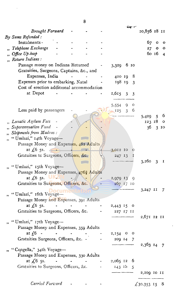|    |                                                     |                                   |  |               |                       |    | ∙ईाङ्के र* |                           |                 |              |
|----|-----------------------------------------------------|-----------------------------------|--|---------------|-----------------------|----|------------|---------------------------|-----------------|--------------|
|    | <b>Brought Forward</b>                              |                                   |  |               |                       |    |            | 10,856 18 11              |                 |              |
|    | By Sums Refunded:                                   |                                   |  |               |                       |    |            |                           |                 |              |
|    | Instalments -                                       |                                   |  |               |                       |    |            |                           | 67 o            | $\mathbf{o}$ |
|    | Telephone Exchange                                  |                                   |  |               |                       |    |            | 27                        | $\bullet$       | $\mathbf{o}$ |
|    | Office Up-keep                                      |                                   |  |               |                       |    |            |                           | 60 16 4         |              |
|    | Return Indians:                                     |                                   |  |               |                       |    |            |                           |                 |              |
|    | Passage money on Indians Returned                   |                                   |  |               | 3,329 6 10            |    |            |                           |                 |              |
|    | Gratuities, Surgeons, Captains, &c., and            |                                   |  |               |                       |    |            |                           |                 |              |
|    | Expenses, India                                     |                                   |  |               | 410198                |    |            |                           |                 |              |
|    | Expenses prior to embarking, Natal                  |                                   |  |               | 198 19 3              |    |            |                           |                 |              |
|    | Cost of erection additional accommodation           |                                   |  |               |                       |    |            |                           |                 |              |
|    | at Depot                                            |                                   |  |               | $1,615$ 3 3           |    |            |                           |                 |              |
|    |                                                     |                                   |  |               |                       |    |            |                           |                 |              |
|    |                                                     |                                   |  |               | 5,554                 | 9. | O          |                           |                 |              |
|    | Less paid by passengers                             |                                   |  |               | $125 \quad 3 \quad 6$ |    |            |                           |                 |              |
|    |                                                     |                                   |  |               |                       |    |            |                           |                 | - 6          |
|    | Lunatic Asylum Fees                                 |                                   |  |               |                       |    |            | 5,429                     | 5 <sub>1</sub>  |              |
|    | Superannuation Fund                                 |                                   |  |               |                       |    |            | 123 18 0                  |                 |              |
|    |                                                     |                                   |  |               |                       |    |            | 36                        | 3 <sub>10</sub> |              |
|    | Shipments from Madras:                              |                                   |  |               |                       |    |            |                           |                 |              |
| ,  | "Umlazi," 14th Voyage-                              |                                   |  |               |                       |    |            |                           |                 |              |
|    | Passage Money and Expenses, 482 Adults              |                                   |  |               |                       |    |            |                           |                 |              |
|    | at $\sqrt{6}$ 5s.                                   |                                   |  |               | 3,012 10              |    |            |                           |                 |              |
|    | Gratuities to Surgeons, Officers, &c.               |                                   |  |               | 247 13                |    | I          |                           |                 |              |
|    |                                                     |                                   |  |               |                       |    |            | 3,260,3                   |                 | $\mathbf{I}$ |
|    | "Umlazi," 15th Voyage-                              |                                   |  |               |                       |    |            |                           |                 |              |
|    | Passage Money and Expenses, 476 <sup>2</sup> Adults |                                   |  |               |                       |    |            |                           |                 |              |
|    | at $\measuredangle$ 6 5s.                           |                                   |  |               | 2,979 13              |    | 9          |                           |                 |              |
|    | Gratuities to Surgeons, Officers, &c.               |                                   |  |               | 267 17 10             |    |            |                           |                 |              |
|    |                                                     |                                   |  |               |                       |    |            | 3,247 II                  |                 | 7            |
| ,, | "Umlazi," 16th Voyage-                              |                                   |  |               |                       |    |            |                           |                 |              |
|    | Passage Money and Expenses, 391 Adults              |                                   |  |               |                       |    |            |                           |                 |              |
|    |                                                     |                                   |  |               |                       |    |            |                           |                 |              |
|    | Gratuities to Surgeons, Officers, &c. - 227 17 11   |                                   |  |               |                       |    |            |                           |                 |              |
|    |                                                     |                                   |  |               |                       |    |            | 2,671 12 11               |                 |              |
|    | "Umlazi," 17th Voyage-                              |                                   |  |               |                       |    |            |                           |                 |              |
|    | Passage Money and Expenses, 359 Adults              |                                   |  |               |                       |    |            |                           |                 |              |
|    | at $(6 -$                                           |                                   |  |               | 2,154 0 0             |    |            |                           |                 |              |
|    | Gratuities Surgeons, Officers, &c. -                |                                   |  |               | 209 14 7              |    |            |                           |                 |              |
|    |                                                     |                                   |  |               |                       |    |            | $2,363$ $14$ 7            |                 |              |
|    | "Congella," 34th Voyage-                            |                                   |  |               |                       |    |            |                           |                 |              |
|    | Passage Money and Expenses, 330 Adults              |                                   |  |               |                       |    |            |                           |                 |              |
|    | at $\angle 6$ ss.                                   | and the state of the state of the |  | $-2,065$ 12 6 |                       |    |            |                           |                 |              |
|    | Gratuities to Surgeons, Officers, &c.               |                                   |  |               | $143$ 15 5            |    |            |                           |                 |              |
|    |                                                     |                                   |  |               |                       |    |            | 2,209 IO II               |                 |              |
|    |                                                     |                                   |  |               |                       |    |            |                           |                 |              |
|    | Carried Forward                                     |                                   |  |               |                       |    |            | $\overline{6}30,353$ 15 8 |                 |              |

 $\ddot{\phantom{0}}$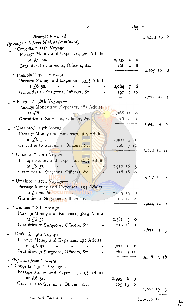$\overline{9}$ 

 $\frac{d\mathbf{w}}{dt}$  =

| <b>Brought Forward</b><br>By Shipments from Madras (continued)<br>"Congella," 35th Voyage-                                   |                               | 30,353 15 8               |
|------------------------------------------------------------------------------------------------------------------------------|-------------------------------|---------------------------|
| Passage Money and Expenses, 326 Adults                                                                                       |                               |                           |
| at $\sqrt{6}$ 5s.                                                                                                            | 2,037 10 0                    |                           |
| Gratuities to Surgeons, Officers, &c.                                                                                        | 168 o<br>- 8                  |                           |
|                                                                                                                              |                               | - 8<br>2,205 10           |
| "Pongola," 37th Voyage-                                                                                                      |                               |                           |
| Passage Money and Expenses, 333} Adults                                                                                      |                               |                           |
| at $\int$ 6 5s.                                                                                                              | 2,084<br>7 6                  |                           |
| Gratuities to Surgeons, Officers, &c.                                                                                        | 190<br>2 IO                   | 2,274 10                  |
| " Pongola," 38th Voyage—                                                                                                     |                               | 4                         |
| Passage Money and Expenses, 283 Adults                                                                                       |                               |                           |
| at $\int$ 6 5s.                                                                                                              | 1,768 15 0                    |                           |
| Gratuities to Surgeons, Officers, &c.                                                                                        | 176 19<br>7                   |                           |
|                                                                                                                              |                               | 1,945 14<br>7             |
| "Umzinto," 25th Voyage-                                                                                                      |                               |                           |
| Passage Money and Expenses, 465 Adults                                                                                       |                               |                           |
| at $\sqrt{6}$ 5s.                                                                                                            | 2,906<br>5<br>$\circ$         |                           |
| Gratuities to Surgeons, Officers, &c.                                                                                        | 266<br>$7$ II                 |                           |
| " Umzinto," 26th Voyage-                                                                                                     |                               | 3,172 12 11               |
| Passage Money and Expenses, 4654 Adults                                                                                      |                               |                           |
| at $f_0$ 5s.                                                                                                                 | 2,910 16<br>$\beta$           |                           |
| Gratuities to Surgeons, Officers, &c.                                                                                        | 256 18<br><u>/o</u>           |                           |
|                                                                                                                              |                               | $3,167$ 14 3              |
| "Umzinto," 27th Voyage-                                                                                                      |                               |                           |
| Passage Money and Expenses, 334 Adults                                                                                       |                               |                           |
| at $f_0$ as. $6d$ <b>OCUMENT</b>                                                                                             | 2,045 15<br>$\circ$           |                           |
| Gratuities to Surgeons, Officers, &c.                                                                                        | 198 17<br>$\ddot{\mathrm{+}}$ |                           |
| "Umkuzi," 8th Voyage -                                                                                                       |                               | 2,244 12<br>4             |
| Passage Money and Expenses, 3813 Adults                                                                                      |                               |                           |
| at $\zeta$ 6 5s. $\qquad$ -<br>$   2,381$ 5 0                                                                                |                               |                           |
| Gratuities to Surgeons, Officers, &c.                                                                                        | 250 16 7                      |                           |
|                                                                                                                              |                               | $2,632$ I 7               |
| "Umkuzi," 9th Voyage-                                                                                                        |                               |                           |
| Passage Money and Expenses, 492 Adults                                                                                       |                               |                           |
| at $\sqrt{6}$ 5s.<br>$\mathcal{L}(\mathcal{L}(\mathbf{w}))$ . The contribution of the $\mathcal{L}(\mathcal{L}(\mathbf{w}))$ | $3,075$ 0 0                   |                           |
| Gratuities to Surgeons, Officers, &c. -                                                                                      | 263 5 10                      |                           |
| Shipments from Calcutta:                                                                                                     |                               | $3,338$ 5 $10$            |
| "Congella," 36th Voyage-                                                                                                     |                               |                           |
| Passage Money and Expenses, 3194 Adults                                                                                      |                               |                           |
| at $\measuredangle$ 6 5s. - - - - 1,995 6 3                                                                                  |                               |                           |
| Gratuities to Surgeons, Officers, &c. [157] - 1587.                                                                          |                               |                           |
|                                                                                                                              | 205 13 0                      | $2,200$ 19 3              |
|                                                                                                                              |                               |                           |
| $C$ arrad Forward $\qquad$                                                                                                   |                               | $\frac{2}{3}$ 53,535 17 5 |
|                                                                                                                              |                               |                           |

 $\mathcal{L}$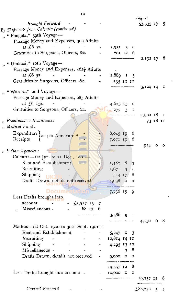|              |                                                                                                                                                                                                                                                                                                                                                                                                   |         |            |                 |                | $\mathcal{L}_{ij}$ . $\mathcal{L}_{ij}$ |          |     |
|--------------|---------------------------------------------------------------------------------------------------------------------------------------------------------------------------------------------------------------------------------------------------------------------------------------------------------------------------------------------------------------------------------------------------|---------|------------|-----------------|----------------|-----------------------------------------|----------|-----|
|              | Brought Forward                                                                                                                                                                                                                                                                                                                                                                                   |         |            |                 |                | 53,535 17 5                             |          |     |
|              | By Shipments from Calcutta (continued)                                                                                                                                                                                                                                                                                                                                                            |         |            |                 |                |                                         |          |     |
| $\mathbf{u}$ | "Pongola," 39th Voyage-                                                                                                                                                                                                                                                                                                                                                                           |         |            |                 |                |                                         |          |     |
|              | Passage Money and Expenses, 309 Adults                                                                                                                                                                                                                                                                                                                                                            |         |            |                 |                |                                         |          |     |
|              | at $\sqrt{6}$ 5s.                                                                                                                                                                                                                                                                                                                                                                                 |         |            | $1,931 \quad 5$ | $\circ$        |                                         |          |     |
|              | Gratuities to Surgeons, Officers, &c.                                                                                                                                                                                                                                                                                                                                                             |         |            | 201 12          | 6              |                                         |          |     |
|              |                                                                                                                                                                                                                                                                                                                                                                                                   |         |            |                 |                | $2,132$ 17 6                            |          |     |
|              | " Umkuzi," roth Voyage-                                                                                                                                                                                                                                                                                                                                                                           |         |            |                 |                |                                         |          |     |
|              | Passage Money and Expenses, $462\frac{1}{4}$ Adults                                                                                                                                                                                                                                                                                                                                               |         |            |                 |                |                                         |          |     |
|              | at $\sqrt{6}$ ss.                                                                                                                                                                                                                                                                                                                                                                                 |         |            | 2,889 I         | 3              |                                         |          |     |
|              | Gratuities to Surgeons, Officers, &c.                                                                                                                                                                                                                                                                                                                                                             |         |            | 235 12 10       |                |                                         |          |     |
|              |                                                                                                                                                                                                                                                                                                                                                                                                   |         |            |                 |                | 3,124 14 1                              |          |     |
|              | "Warora," 2nd Voyage-                                                                                                                                                                                                                                                                                                                                                                             |         |            |                 |                |                                         |          |     |
|              | Passage Money and Expenses, 685 Adults                                                                                                                                                                                                                                                                                                                                                            |         |            |                 |                |                                         |          |     |
|              | at $f(6)$ 15s.                                                                                                                                                                                                                                                                                                                                                                                    |         |            | 4,623 15        | $\circ$        |                                         |          |     |
|              | Gratuities to Surgeons, Officers, &c.                                                                                                                                                                                                                                                                                                                                                             |         |            | $277 \quad 3$   | I              |                                         |          |     |
|              |                                                                                                                                                                                                                                                                                                                                                                                                   |         |            |                 |                | 4,900 I SI                              |          |     |
|              | " Premiums on Remittances                                                                                                                                                                                                                                                                                                                                                                         |         |            |                 |                |                                         | 73 18 11 |     |
|              | " Medical Fund:                                                                                                                                                                                                                                                                                                                                                                                   |         |            |                 |                |                                         |          |     |
|              |                                                                                                                                                                                                                                                                                                                                                                                                   |         |            |                 |                |                                         |          |     |
|              | Expenditure as per Annexure A                                                                                                                                                                                                                                                                                                                                                                     |         |            | $8,045$ 19      | 6              |                                         |          |     |
|              | Receipts                                                                                                                                                                                                                                                                                                                                                                                          |         |            | 7,071 19        | 6              |                                         |          |     |
|              |                                                                                                                                                                                                                                                                                                                                                                                                   |         |            |                 |                | 974                                     | o        | - 0 |
|              | "Indian Agencies:                                                                                                                                                                                                                                                                                                                                                                                 |         |            |                 |                |                                         |          |     |
|              | Calcutta---1st Jan. to 31 Dec., 1901-                                                                                                                                                                                                                                                                                                                                                             |         |            |                 |                |                                         |          |     |
|              | Rent and Establishment                                                                                                                                                                                                                                                                                                                                                                            |         |            | $1,482$ 8       | 9              |                                         |          |     |
|              | Recruiting                                                                                                                                                                                                                                                                                                                                                                                        |         |            | $1,671$ 9       | $\overline{4}$ |                                         |          |     |
|              | Shipping                                                                                                                                                                                                                                                                                                                                                                                          |         |            | 544 17          | 8              |                                         |          |     |
|              | Drafts Drawn, details not received                                                                                                                                                                                                                                                                                                                                                                |         |            | $4,038$ 0 0     |                |                                         |          |     |
|              |                                                                                                                                                                                                                                                                                                                                                                                                   |         |            |                 |                |                                         |          |     |
|              | <b>Document</b>                                                                                                                                                                                                                                                                                                                                                                                   |         |            | 7,736 15        | 9              |                                         |          |     |
|              | Less Drafts brought into                                                                                                                                                                                                                                                                                                                                                                          |         |            |                 |                |                                         |          |     |
|              | account<br>$£3,517$ 15 7                                                                                                                                                                                                                                                                                                                                                                          |         |            |                 |                |                                         |          |     |
|              | Miscellaneous -<br>$\overline{\mathbf{r}}$                                                                                                                                                                                                                                                                                                                                                        | 68 13 6 |            |                 |                |                                         |          |     |
|              |                                                                                                                                                                                                                                                                                                                                                                                                   |         |            | $3,586$ 9 I     |                |                                         |          |     |
|              |                                                                                                                                                                                                                                                                                                                                                                                                   |         |            |                 |                | $4,150$ 6 8                             |          |     |
|              | Madras-ist Oct. 1900 to 30th Sept. 1901-                                                                                                                                                                                                                                                                                                                                                          |         |            |                 |                |                                         |          |     |
|              | Rent and Establishment                                                                                                                                                                                                                                                                                                                                                                            |         |            | $5,247$ 0 3     |                |                                         |          |     |
|              | Recruiting<br>$\frac{1}{2} \sum_{i=1}^n \frac{1}{2} \sum_{j=1}^n \frac{1}{2} \sum_{j=1}^n \frac{1}{2} \sum_{j=1}^n \frac{1}{2} \sum_{j=1}^n \frac{1}{2} \sum_{j=1}^n \frac{1}{2} \sum_{j=1}^n \frac{1}{2} \sum_{j=1}^n \frac{1}{2} \sum_{j=1}^n \frac{1}{2} \sum_{j=1}^n \frac{1}{2} \sum_{j=1}^n \frac{1}{2} \sum_{j=1}^n \frac{1}{2} \sum_{j=1}^n \frac{1}{2} \sum_{j=$<br><b>All Contracts</b> |         | $\sim 100$ | 10,814 14 11    |                |                                         |          |     |
|              | Shipping                                                                                                                                                                                                                                                                                                                                                                                          |         |            | 4,295 13 10     |                |                                         |          |     |
|              | Miscellaneous -                                                                                                                                                                                                                                                                                                                                                                                   |         |            |                 | 38             |                                         |          |     |
|              | Drafts Drawn, details not received                                                                                                                                                                                                                                                                                                                                                                |         |            | $9,000$ 0 0     |                |                                         |          |     |
|              |                                                                                                                                                                                                                                                                                                                                                                                                   |         |            |                 |                |                                         |          |     |
|              |                                                                                                                                                                                                                                                                                                                                                                                                   |         |            | 29,357 12 8     |                |                                         |          |     |
|              | Less Drafts brought into account -                                                                                                                                                                                                                                                                                                                                                                |         |            | 10,000 0 0      |                |                                         |          |     |
|              |                                                                                                                                                                                                                                                                                                                                                                                                   |         |            |                 |                | $19,357$ 12 8                           |          |     |
|              |                                                                                                                                                                                                                                                                                                                                                                                                   |         |            |                 |                |                                         |          |     |
|              | Carried Forward                                                                                                                                                                                                                                                                                                                                                                                   |         |            |                 |                | $£88,250$ 5 4                           |          |     |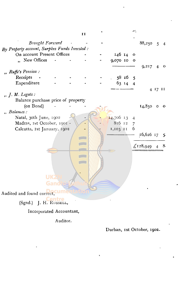$\overline{11}$ Brought Forward  $88,250$  5 4 By Property account, Surplus Funds Invested : On account Present Offices 146 14  $\overline{O}$ "New Offices 9,070 10  $\overline{a}$  $\ddot{\mathbf{O}}$  $9,217$  $\overline{4}$  $\overline{\mathbf{O}}$ "Ruffe's Pension: Receipts 58 16 5 Expenditure 63 14  $\overline{4}$ 4 17 11  $, J. M.$  Legate: Balance purchase price of property (on Bond)  $14,850$  0 0 " Balances: Natal, 30th June, 1902 14,706 13  $\overline{4}$ Madras, 1st October, 1901 -816 12  $\overline{7}$ Calcutta, 1st January, 1902 1,103 11 6 16,626 17  $\overline{5}$ **CONTRACTOR CONTRACTOR**  $£128,949$ 8  $\overline{4}$ **COLLE CONTRACTOR** UK Audited and found correct, (Sgnd.) J. H. RUSSELL, Incorporated Accountant,

Auditor.

Durban, 1st October, 1902.

ا ميں<br>س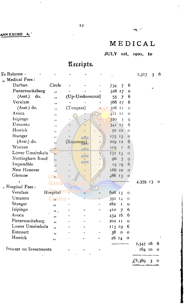### NN EXURE A.

 $\sim$ 

 $\hat{\mathcal{E}}$ 

 $\overline{\phantom{a}}$ 

## MEDICAL

## JULY 1st, 1901, to

## Receipts.

| $\cdot$ o Balance $\cdot$ |                         |            |                |                    |                |                | 1,317    | $\overline{\mathbf{3}}$ | 6 |
|---------------------------|-------------------------|------------|----------------|--------------------|----------------|----------------|----------|-------------------------|---|
| " Medical Fees:           |                         |            |                |                    |                |                |          |                         |   |
| Durban                    | Circle                  |            |                | 734                | 7              | 6              |          |                         |   |
| Pietermaritzburg          | ,                       |            |                | 326 17             |                | O              |          |                         |   |
| (Asst.) do.               | $, \,$                  |            | (Up-Umkomanzi) | 55                 | 7              | 6              |          |                         |   |
| Verulam                   | ,,                      |            |                | 366 17             |                | 6              |          |                         |   |
| $(Ask.)$ do.              | 22                      | (Tongaat)  |                | 306 II             |                | $\circ$        |          |                         |   |
| Avoca                     | ,                       |            |                | 121                | II             | $\circ$        |          |                         |   |
| Isipingo                  | 22                      |            |                | 320                | $\overline{3}$ | 9              |          |                         |   |
| Umzinto                   | 12                      |            |                | $341$ 17           |                | 6              |          |                         |   |
| Howick                    | ,,                      |            |                | 70                 | 10             | $\circ$        |          |                         |   |
| Stanger                   | 11                      |            |                | 175                | 13             | $\circ$        |          |                         |   |
| (Asst.) do.               | ,,                      | (Kearsney) |                | 229                | 12             | 6              |          |                         |   |
| Weenen                    | ,,                      |            |                | ICQ                | $\mathbf{I}$   | 6              |          |                         |   |
| Lower Umzimkulu           | ,,                      |            |                | 131 15             |                | $\circ$        |          |                         |   |
| Nottingham Road           | ,,                      |            |                | 96                 | $\overline{5}$ | $\overline{9}$ |          |                         |   |
| Impendhle                 | ,,                      |            |                | 19                 | 19             | 6              |          |                         |   |
| New Hanover               | ,,                      |            |                | 166 10             |                | $\circ$        |          |                         |   |
| Glencoe                   | $\overline{\mathbf{1}}$ |            |                | 486 13             |                | $\circ$        |          |                         |   |
|                           |                         |            |                |                    |                |                | 4,359 13 |                         | o |
| , Hospital Fees:          |                         |            |                |                    |                |                |          |                         |   |
| Verulam                   | Hospital                |            |                | $626$ 13           |                | o              |          |                         |   |
| Umzinto                   | Gntre                   |            |                | 392 I <sub>4</sub> |                | $\circ$        |          |                         |   |
| Stanger                   | ,,                      |            |                | 282                | $\mathbf{I}$   | $\mathbf o$    |          |                         |   |
| Isipingo                  | ".                      |            |                | 410                | $\overline{7}$ | 6              |          |                         |   |
| Avoca                     | ,,                      |            |                | 454 16             |                | 6              |          |                         |   |
| Pietermaritzburg          | ,                       |            |                | 202 II             |                | $\mathbf O$    |          |                         |   |
| Lower Umzimkulu           | ,,                      |            |                | 113 19             |                | 6              |          |                         |   |
| Estcourt                  | ,,                      |            |                | 38                 | $\mathbf{o}$   | $\mathbf{o}$   |          |                         |   |
| Howick                    | ,,                      |            |                | 2614               |                | o              |          |                         |   |
|                           |                         |            |                |                    |                |                | 2,547 16 |                         | 6 |
| Interest on Investments   |                         |            |                |                    |                |                | 164 10   |                         | O |
|                           |                         |            |                |                    |                |                |          |                         |   |
|                           |                         |            |                |                    |                |                |          |                         |   |

 $\frac{\cancel{6}8,389}{0}$  3 0

 $\ddot{\phantom{0}}$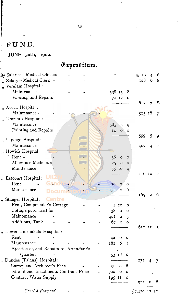## FUND.

 $\Box$ 

and the company of the company of the company of the company of the company of the company of the company of the company of the company of the company of the company of the company of the company of the company of the comp

 $\ddot{\cdot}$ 

JUNE 30th, 1902.

Expenditure.

 $\ddot{\phantom{a}}$ 

| By Salaries—Medical Officers             |  |                        |         | 3.119  | $\overline{4}$   | 6              |
|------------------------------------------|--|------------------------|---------|--------|------------------|----------------|
| Salary-Medical Clerk -                   |  |                        |         | 128    |                  | 6 <sub>8</sub> |
| Verulam Hospital :                       |  |                        |         |        |                  |                |
| Maintenance -                            |  | 538 15                 | 8       |        |                  |                |
| Painting and Repairs                     |  | 74 12                  | o       |        |                  |                |
|                                          |  |                        |         | 613    | $\overline{7}$   | 8              |
| " Avoca Hospital:                        |  |                        |         |        |                  |                |
| Maintenance -                            |  |                        |         | 515 18 |                  | $\tau$         |
| Umzinto Hospital :                       |  |                        |         |        |                  |                |
| Maintenance                              |  | 585.<br>$\overline{5}$ | 9       |        |                  |                |
| Painting and Repairs                     |  | $I4 \quad 0$           | $\circ$ |        |                  |                |
| "Isipingo Hospital:                      |  |                        |         | 599    | 5                | 9              |
| Maintenance                              |  |                        |         | 407    | $\overline{4}$   | 4              |
| " Howick Hospital:                       |  |                        |         |        |                  |                |
| Rent -                                   |  | 36<br>$\circ$          | $\circ$ |        |                  |                |
| <b>Allowance Medicines</b>               |  | 25<br>$\circ$          | O       |        |                  |                |
| Maintenance                              |  | 55 10                  | 4       |        |                  |                |
|                                          |  |                        |         | 116 10 |                  | 4              |
| Estcourt Hospital:                       |  |                        |         |        |                  |                |
| Rent                                     |  | 300                    | $\circ$ |        |                  |                |
| Maintenance                              |  | 135<br>$\overline{2}$  | 6       |        |                  |                |
|                                          |  |                        |         | 165    | $\boldsymbol{2}$ | 6              |
| <b>Centre</b><br>"Stanger Hospital:      |  |                        |         |        |                  |                |
| Rent, Compounder's Cottage               |  | 4 10                   | o       |        |                  |                |
| Cottage purchased for                    |  | 138<br>o               | o       |        |                  |                |
| Maintenance                              |  | 401<br>$\overline{2}$  | 5       |        |                  |                |
| Additions, Tank                          |  | 67<br>$\mathbf O$      | $\circ$ |        |                  |                |
| " Lower Umzimkulu Hospital:              |  |                        |         | 610 12 |                  | 5              |
| Rent                                     |  | 42<br>o                | o       |        |                  |                |
| Maintenance                              |  | 6<br>181               |         |        |                  |                |
| Erection of, and Repairs to, Attendant's |  |                        |         |        |                  |                |
| Quarters                                 |  | 53 18                  | $\circ$ |        |                  |                |
| Dundee (Talana) Hospital:                |  |                        |         | 277    |                  |                |
| Survey and Architect's Fees              |  | 31<br>g.               | 6       |        |                  |                |
| 1st and 2nd Instalments Contract Price   |  | 700<br>o               | o       |        |                  |                |
| Contract Water Supply                    |  | 195 II                 | o       |        |                  |                |
|                                          |  |                        |         | 927    | о                | O              |
| Carried Forward                          |  |                        |         |        |                  |                |
|                                          |  |                        |         | €7,479 | 17               | 10             |

 $\ddot{\phantom{0}}$ 

¥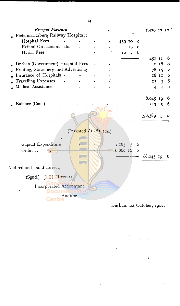|                                            | Brought Forward          |          |  |           |                |         | 7,479 17 10    |                 |                 |
|--------------------------------------------|--------------------------|----------|--|-----------|----------------|---------|----------------|-----------------|-----------------|
| Pietermaritzburg Railway Hospital:         |                          |          |  |           |                |         |                |                 |                 |
| Hospital Fees                              |                          |          |  | 439 10    |                | o       |                |                 |                 |
|                                            | Refund On account do.    |          |  |           | 19             | $\circ$ |                |                 |                 |
| <b>Burial Fees</b>                         |                          |          |  | <b>IO</b> | $\overline{2}$ | 6       |                |                 |                 |
|                                            |                          |          |  |           |                |         | 450 II         |                 | 6               |
| Durban (Government) Hospital Fees          |                          |          |  |           |                |         |                | 0 <sub>16</sub> | $\circ$         |
| Printing, Stationery and Advertising<br>,, |                          |          |  |           |                |         |                | 78 15           | $\pmb{2}$       |
| Insurance of Hospitals -<br>,,             |                          |          |  |           |                |         |                | 18 II           | $6\phantom{1}6$ |
| <b>Travelling Expenses</b>                 |                          |          |  |           |                |         | 13             | $\overline{3}$  | 6               |
| Medical Assistance                         |                          |          |  |           |                |         | $\overline{4}$ | $\overline{4}$  | o               |
|                                            |                          |          |  |           |                |         | 8,045 19       |                 | 6               |
| Balance (Cash)                             |                          |          |  |           |                |         | 343            | $\mathbf{3}$    | 6               |
|                                            |                          |          |  |           |                |         | £8,389         | 3               | o               |
|                                            |                          |          |  |           |                |         |                |                 |                 |
|                                            |                          |          |  |           |                |         |                |                 |                 |
| Capital Expenditure                        |                          |          |  | $1,185$ 3 |                | 6       |                |                 |                 |
| Ordinary                                   | $\overline{\mathbf{u}}$  |          |  | 6,860 16  |                | $\circ$ |                |                 |                 |
|                                            |                          |          |  |           |                |         | £8,045 19      |                 | 6               |
| Audited and found correct,                 |                          |          |  |           |                |         |                |                 |                 |
|                                            | (Sgnd.) J. H. RUSSELL,   |          |  |           |                |         |                |                 |                 |
|                                            | Incorporated Accountant, |          |  |           |                |         |                |                 |                 |
|                                            |                          | Auditor. |  |           |                |         |                |                 |                 |
|                                            |                          |          |  |           |                |         |                |                 |                 |

#### Durban. 1st October, 1902.

ţ.

 $\ddot{\phantom{0}}$ 

 $\ddot{\phantom{0}}$ 

 $\ddot{\phantom{0}}$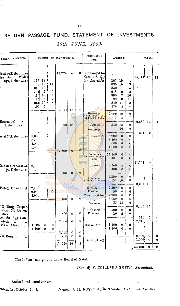## RETURN PASSAGE FUND.-STATEMENT OF INVESTMENTS

#### 30th JUNE, 1902.

| WHERE INVESTED.                                                         | AMOUNT OF INVESTMENT.                                           |                                                |                                                     |                |                         |                    | PURCHASED<br>FOR.                                                        |                                                                      | AMOUNT.                                             |                                                                        | TOTAL.          |          |                            |  |
|-------------------------------------------------------------------------|-----------------------------------------------------------------|------------------------------------------------|-----------------------------------------------------|----------------|-------------------------|--------------------|--------------------------------------------------------------------------|----------------------------------------------------------------------|-----------------------------------------------------|------------------------------------------------------------------------|-----------------|----------|----------------------------|--|
| Intal 4%Debentures<br>lew South Wales<br>31% Debentures                 | 113 14<br>423 19<br>359 10<br>701]<br>4101<br>95<br>364I<br>402 | $\overline{2}$<br>18<br>$\mathbf b$<br>19<br>5 | $\theta$<br>11<br>O<br>0<br>9<br>2<br>$\bf{5}$<br>9 | 15,225         | $\overline{\mathbf{4}}$ |                    | 10 Exchanged for<br>Natal 4 $\lambda$ 4 $\frac{1}{2}$ %<br>Purchased for | 107  19<br>395i<br>3401<br>648<br>390]<br>90<br>$340^{\circ}$<br>378 | 16<br>11<br>10<br>7<br>10<br>11<br>3                | $\overline{1}$<br>9<br>5<br>3<br>10<br>11<br>3<br>$\ddot{\phantom{1}}$ | $14,014$ 15     |          | 11                         |  |
|                                                                         |                                                                 |                                                |                                                     | 2,871          | 16                      | $\hat{0}$          | Brokerage.<br>58 21 2 18 - 35 1<br>20 b 4 9 18 3 20 2                    | 2.082<br>$\overline{1}$                                              | 10 <sup>°</sup><br>3                                | 9<br>7                                                                 |                 |          |                            |  |
| lictoria 4%<br>Debentures                                               |                                                                 |                                                |                                                     | 329            | 18                      |                    | Purchased for<br><b>Brokerage</b>                                        | 340                                                                  | $13$ .<br>16                                        | O.<br>6                                                                | 2,689           | 14       |                            |  |
| iatal 5%Debentures                                                      | 3,000<br>8.500<br>4.000<br>1,800                                | U.<br>o<br>$\cup$<br>$\cup$                    | $\cup$<br>$\cup$<br>$^{+}$<br>ü                     |                |                         |                    | Purchased for                                                            | 3,000<br>8,500<br>$4.000^{\circ}$<br>1,800,                          | $\left( \right)$<br>Ü<br>$\left($<br>0 <sup>1</sup> | $^{(1)}$<br>O.<br>u<br>$\blacksquare$                                  | 341             | 9        | 6                          |  |
| Juiban Corporation                                                      | 2,700                                                           | $\left  \cdot \right $                         | O.                                                  | 17,300         | $_{\odot}$              | $\theta$           | <b>Premiums</b><br>$245 \pm 170 \pm 63$ and<br>Purchased for             | 17,300<br>$+01$<br>2,700                                             | 0<br>o<br>Ü                                         | $\cup$<br>$\blacksquare$<br>o                                          | $17,701^\circ$  | U.       | $\mathbf{u}$               |  |
| 44% Debentures                                                          | 400                                                             | $\blacksquare$                                 | $\mathbf{U}$<br>$-5$                                | 3,100          | $\mathbf{u}$            | $\theta$           | Premiums<br>$\pm 121$ $10i$ and $\pm 30$                                 | 400.<br>3,100<br>151                                                 | $\left( \right)$<br>0<br>$\mathbf{i}^{\mathbf{0}}$  | o<br>O.<br>0                                                           | $3,251$ 10      |          | $\theta$                   |  |
| 0.31% Consol St'ck                                                      | 2,500<br>2,900<br>3,000                                         | $_{0}$<br>O.<br>0                              | 0<br>$\overline{0}$<br>$\theta$                     | um<br>8,400    | I)                      | $\overline{0}$     | Purchased for<br>Premuu<br>Purchased for                                 | 2,500<br>50<br>2,900<br>3,000<br>331                                 | $\theta$<br>$\blacksquare$<br>£E.<br>9<br>15        | $\theta$<br>$\bf{0}$<br>$\Omega$<br>Ð<br>Ð                             |                 |          |                            |  |
| M. Burg Corpor-<br>ation 5% Deben-<br>tures                             |                                                                 |                                                |                                                     | 500            | $\theta$                | 0                  | Premium<br>Puvebused for<br>Premum                                       | 500<br>16                                                            | $\mathbf{d}$<br>5                                   | 0<br>0                                                                 | 8,483           | 15       | $\mathbf{u}$               |  |
| <b>lo. do 3½% Con</b><br>Stock<br>ank of Africa<br>$\ddot{\phantom{a}}$ | 002.1<br>$1,100^{\circ}$                                        | o<br>$\bullet$                                 | u<br>Ō                                              | 3,000          | $\bullet$               | H)                 | Fixed Deposit                                                            | 1,200.<br>1,100                                                      | $\mathbf{u}$<br>$\mathbf{0}$ ,                      | 0<br>$\mathbf{0}$                                                      | 516.<br>2,910   | õ<br>-1) | 0<br>$\boldsymbol{\theta}$ |  |
| M. Burg<br>$\ddot{\phantom{a}}$                                         |                                                                 |                                                |                                                     | 2,300<br>1,200 | 0<br>$\bullet$          | $\mathbf{0}$<br>O. | Bond $@$ $\frac{1}{6}$                                                   |                                                                      |                                                     |                                                                        | 2,300,<br>1,200 | o<br>Ð   | 0<br>Ü                     |  |
|                                                                         |                                                                 |                                                |                                                     | 54,226         | -19                     | 5                  |                                                                          |                                                                      |                                                     |                                                                        | 53,408          | 9        | ð                          |  |

The Indian Immigration Trust Board of Natal.

(Signed) F. COILLARD SMITH, Accountant.

 $\sim$  47

Audited and found correct.

utban, 1st October, 1902.

(Signed) J. H. RUSSELL, Incorporated Accountant, Auditor.

 $\ddot{\phantom{a}}$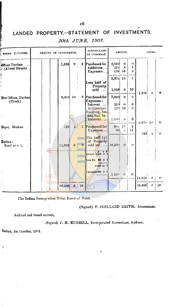## LANDED PROPERTY.-STATEMENT OF INVESTMENTS.

 $\mathcal{H}$ 

| WHERE INVESTED.                  |     | AMOUNT OF INVESTMENT. |                 |              | <b>PARTICULARS</b><br>OF PURCHASE.                                          |                     | AMOUNT.                        |                                                                                                                                                                                                                                                                                                                                                                                                                                                                                                     |                           | 10TAL.                     |                 |
|----------------------------------|-----|-----------------------|-----------------|--------------|-----------------------------------------------------------------------------|---------------------|--------------------------------|-----------------------------------------------------------------------------------------------------------------------------------------------------------------------------------------------------------------------------------------------------------------------------------------------------------------------------------------------------------------------------------------------------------------------------------------------------------------------------------------------------|---------------------------|----------------------------|-----------------|
| Offices Durban<br>(Ahwal Street) |     | 1,838                 | $\pmb{\Omega}$  | 9            | Purchased for<br>Additions<br>Expenses                                      | 3,050<br>494<br>132 | $\theta$<br>$\mathbf{a}$<br>16 | $\theta$<br>$\mathbf{I}% _{t}\left  \mathbf{I}_{t}\right  ^{-1}\left  \mathbf{I}_{t}\right  ^{-1}\left  \mathbf{I}_{t}\right  ^{-1}\left  \mathbf{I}_{t}\right  ^{-1}\left  \mathbf{I}_{t}\right  ^{-1}\left  \mathbf{I}_{t}\right  ^{-1}\left  \mathbf{I}_{t}\right  ^{-1}\left  \mathbf{I}_{t}\right  ^{-1}\left  \mathbf{I}_{t}\right  ^{-1}\left  \mathbf{I}_{t}\right  ^{-1}\left  \mathbf{I}_{t}\right  ^{-1}\left  \mathbf{I}_{t}\right  ^{-1}\left  \mathbf{I}_{t}\right  ^{-1}\left $<br>6 |                           |                            |                 |
|                                  |     |                       |                 |              | Less half of                                                                | 3,676               | 19                             |                                                                                                                                                                                                                                                                                                                                                                                                                                                                                                     |                           |                            |                 |
|                                  |     |                       |                 |              | Property<br>bloa<br>$\sim$                                                  | 1,838               | 9                              | 10                                                                                                                                                                                                                                                                                                                                                                                                                                                                                                  | $1.838^{1}$               | 9                          | $\mathbf{9}$    |
| New Offices, Durban<br>(Creek)   |     | 9,070                 | 10              |              | 0 Purchased for<br>Expenses:                                                | 7,000               | $\theta$                       | $\mathbf{0}$                                                                                                                                                                                                                                                                                                                                                                                                                                                                                        |                           |                            |                 |
|                                  |     |                       |                 |              | Interest<br>Architect, .c.<br>Building, 1st                                 | 350<br>120          | $\theta$<br>10 <sup>°</sup>    | $\theta$<br>$\left\{ \right\}$                                                                                                                                                                                                                                                                                                                                                                                                                                                                      |                           |                            |                 |
|                                  |     |                       |                 |              | and 2nd In-<br>stalment                                                     | 1,600               | $\theta$                       | $\bf{0}$                                                                                                                                                                                                                                                                                                                                                                                                                                                                                            |                           |                            | $\mathbf{0}$    |
| Depot, Madras                    |     | 729                   |                 | $\mathbf{1}$ | Purchased for<br>Expenses                                                   | 30                  | 698 19<br>$\overline{+}$       | $\overline{2}$<br>11                                                                                                                                                                                                                                                                                                                                                                                                                                                                                | $9,070^{\circ}$ 10<br>729 | $\overline{1}$             | $\mathbf{1}$    |
| Durban:<br>Bond at $6\%$         |     | 14,850                | $\theta$        | $\theta$     | The half $(\frac{1}{2})$<br>of Property<br>sold for<br>$\ddot{\phantom{a}}$ | 16,500              | $\bigoplus$                    | 0                                                                                                                                                                                                                                                                                                                                                                                                                                                                                                   |                           |                            |                 |
|                                  |     |                       |                 |              | $\frac{1}{1}$ st Inst 1,650 0 0                                             |                     |                                |                                                                                                                                                                                                                                                                                                                                                                                                                                                                                                     |                           |                            |                 |
|                                  |     |                       |                 |              | Less Ex $200$ 6 0<br>£1449 14 0                                             |                     |                                |                                                                                                                                                                                                                                                                                                                                                                                                                                                                                                     |                           |                            |                 |
|                                  | H I |                       |                 |              | <b>C</b> xpenses 200 6 0                                                    | 1650                | -01                            | $\theta$                                                                                                                                                                                                                                                                                                                                                                                                                                                                                            | 14,850                    | O.                         | $\mathbf{u}$    |
|                                  |     | 26,488                | $3\phantom{.0}$ | 10           |                                                                             |                     |                                |                                                                                                                                                                                                                                                                                                                                                                                                                                                                                                     | 26,488                    | $\boldsymbol{\mathcal{S}}$ | 10 <sub>1</sub> |

### 30th JUNE, 1902.

The Indian Immigration Trust Board of Natal.

ï

' (Signed) F. COILLARD SMITH, Accountant.

Audited and found correct,

(Signed) J. H. RUSSELL, Incorporated Accountant, Auditor.

 $\ddot{\ddot{\sigma}}$ 

 $\ddot{\phantom{a}}$ 

Durban, 1st October, 1901.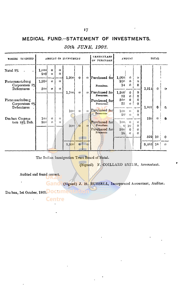### MEDICAL FUND.-STATEMENT OF INVESTMENTS.

| WHERE INVESTED                                |                                                                                            |                       |               | AMOUNT OF INVESTMENT      |                          |              | <b>PARTICULARS</b><br>OF PURCHASE | AMOUNT                  |                              |                                              |       | TOTAL    |                        |
|-----------------------------------------------|--------------------------------------------------------------------------------------------|-----------------------|---------------|---------------------------|--------------------------|--------------|-----------------------------------|-------------------------|------------------------------|----------------------------------------------|-------|----------|------------------------|
| Natal 5%                                      | 1,000<br>200                                                                               | 0<br>$\mathbf{u}$     | $\theta$<br>0 |                           |                          |              |                                   |                         |                              |                                              |       |          |                        |
| Pietermantzburg                               | 1,200                                                                                      | $\blacksquare$        | $\bullet$     | 1,200                     | $\theta$                 |              | <sup>0</sup> Purchased for        | 1,000<br>200<br>14      | 0<br>$\theta$<br>$\Omega$    | $\mathbf{U}$<br>$\mathbf{0}$<br>$\mathbf{0}$ |       |          |                        |
| Corporation 5%<br>Debentures                  | 500)                                                                                       | $\boldsymbol{\theta}$ | 0             | 1,700                     | $\boldsymbol{\theta}$    |              | Premium.<br>(a) Purchased for     | 1,200                   | $\bf{0}$                     | $\mathbf{0}$                                 | 1,214 | $\Omega$ | $\left( \cdot \right)$ |
| Pietermaritzburg                              |                                                                                            |                       |               |                           |                          |              | Premium.<br>Purchased for         | 72<br>500               | $\theta$<br>0                | 0<br>ß                                       |       |          |                        |
| Corporation 6%<br>Debentures                  |                                                                                            |                       |               |                           |                          |              | Premium.                          | 35                      | o                            | 0                                            | 1,807 | $\bf{0}$ | G.                     |
|                                               |                                                                                            |                       |               | 100                       | $\cup$                   | $\mathbf{u}$ | Purchased for<br>Premium          | 100<br>20 <sup>1</sup>  | $\mathbf{a}$<br>$\mathbf{d}$ | $\Omega$<br>$\theta$                         | 120   | ₩        |                        |
| Duiban Coipoia-<br>tion $1\frac{1}{2}\%$ Deb. | 100<br>$\theta$<br>$\left\langle \cdot \right\rangle$<br>2001<br>$\mathbf{0}$<br>O.<br>300 | $\mathbf{D}$          | $\mathbf{H}$  | Purchased for<br>Premium. | 100 <sub>1</sub><br>-lil |              | $\theta$<br>0                     |                         |                              | $\mathbf{e}$                                 |       |          |                        |
|                                               |                                                                                            |                       |               |                           |                          |              | Purchased for<br>Premium          | 200i<br>16 <sub>i</sub> | 10<br>$\Omega$<br>$\theta$   | €<br>$\theta$                                |       |          |                        |
|                                               |                                                                                            |                       |               |                           |                          |              |                                   |                         |                              |                                              | 322   | 10       | 0                      |
|                                               |                                                                                            |                       |               | 3,300                     | $\overline{0}$           | $\mathbf{0}$ |                                   |                         |                              |                                              | 3,463 | 10       | $\mathbf{I}$           |

### 30th JUNE, 1902.

The Indian Immigration Trust Board of Natal.

(Signed) F. COILLARD SMITH, Accountant.

Audited and found correct.

Gand (Signed) J. H. RUSSELL, Incorporated Accountant, Auditor.

Durban, 1st October, 1902. OCUMENT ENTER

 $\ddot{\phantom{0}}$ 

**Centre**